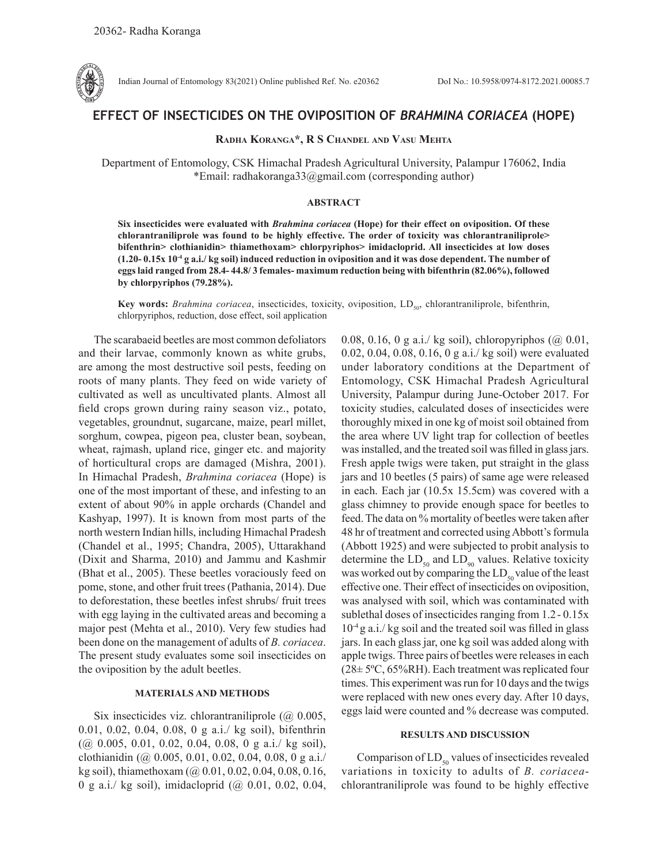

Indian Journal of Entomology 83(2021) Online published Ref. No. e20362 DoI No.: 10.5958/0974-8172.2021.00085.7

# **EFFECT OF INSECTICIDES ON THE OVIPOSITION OF** *BRAHMINA CORIACEA* **(HOPE)**

# **Radha Koranga\*, R S Chandel and Vasu Mehta**

Department of Entomology, CSK Himachal Pradesh Agricultural University, Palampur 176062, India \*Email: radhakoranga33@gmail.com (corresponding author)

## **ABSTRACT**

**Six insecticides were evaluated with** *Brahmina coriacea* **(Hope) for their effect on oviposition. Of these chlorantraniliprole was found to be highly effective. The order of toxicity was chlorantraniliprole> bifenthrin> clothianidin> thiamethoxam> chlorpyriphos> imidacloprid. All insecticides at low doses (1.20- 0.15x 10-4 g a.i./ kg soil) induced reduction in oviposition and it was dose dependent. The number of eggs laid ranged from 28.4- 44.8/ 3 females- maximum reduction being with bifenthrin (82.06%), followed by chlorpyriphos (79.28%).**

Key words: *Brahmina coriacea*, insecticides, toxicity, oviposition, LD<sub>50</sub>, chlorantraniliprole, bifenthrin, chlorpyriphos, reduction, dose effect, soil application

The scarabaeid beetles are most common defoliators and their larvae, commonly known as white grubs, are among the most destructive soil pests, feeding on roots of many plants. They feed on wide variety of cultivated as well as uncultivated plants. Almost all field crops grown during rainy season viz., potato, vegetables, groundnut, sugarcane, maize, pearl millet, sorghum, cowpea, pigeon pea, cluster bean, soybean, wheat, rajmash, upland rice, ginger etc. and majority of horticultural crops are damaged (Mishra, 2001). In Himachal Pradesh, *Brahmina coriacea* (Hope) is one of the most important of these, and infesting to an extent of about 90% in apple orchards (Chandel and Kashyap, 1997). It is known from most parts of the north western Indian hills, including Himachal Pradesh (Chandel et al., 1995; Chandra, 2005), Uttarakhand (Dixit and Sharma, 2010) and Jammu and Kashmir (Bhat et al., 2005). These beetles voraciously feed on pome, stone, and other fruit trees (Pathania, 2014). Due to deforestation, these beetles infest shrubs/ fruit trees with egg laying in the cultivated areas and becoming a major pest (Mehta et al., 2010). Very few studies had been done on the management of adults of *B. coriacea*. The present study evaluates some soil insecticides on the oviposition by the adult beetles.

#### **MATERIALS AND METHODS**

Six insecticides viz. chlorantraniliprole  $(Q_0 0.005)$ , 0.01, 0.02, 0.04, 0.08, 0 g a.i./ kg soil), bifenthrin (@ 0.005, 0.01, 0.02, 0.04, 0.08, 0 g a.i./ kg soil), clothianidin (@ 0.005, 0.01, 0.02, 0.04, 0.08, 0 g a.i./ kg soil), thiamethoxam (@ 0.01, 0.02, 0.04, 0.08, 0.16, 0 g a.i./ kg soil), imidacloprid (@ 0.01, 0.02, 0.04,

0.08, 0.16, 0 g a.i./ kg soil), chloropyriphos  $(Q0.01,$ 0.02, 0.04, 0.08, 0.16, 0 g a.i./ kg soil) were evaluated under laboratory conditions at the Department of Entomology, CSK Himachal Pradesh Agricultural University, Palampur during June-October 2017. For toxicity studies, calculated doses of insecticides were thoroughly mixed in one kg of moist soil obtained from the area where UV light trap for collection of beetles was installed, and the treated soil was filled in glass jars. Fresh apple twigs were taken, put straight in the glass jars and 10 beetles (5 pairs) of same age were released in each. Each jar (10.5x 15.5cm) was covered with a glass chimney to provide enough space for beetles to feed. The data on % mortality of beetles were taken after 48 hr of treatment and corrected using Abbott's formula (Abbott 1925) and were subjected to probit analysis to determine the  $LD_{50}$  and  $LD_{90}$  values. Relative toxicity was worked out by comparing the  $LD_{50}$  value of the least effective one. Their effect of insecticides on oviposition, was analysed with soil, which was contaminated with sublethal doses of insecticides ranging from 1.2- 0.15x  $10^{-4}$  g a.i./ kg soil and the treated soil was filled in glass jars. In each glass jar, one kg soil was added along with apple twigs. Three pairs of beetles were releases in each  $(28\pm 5^{\circ}\text{C}, 65\% \text{RH})$ . Each treatment was replicated four times. This experiment was run for 10 days and the twigs were replaced with new ones every day. After 10 days, eggs laid were counted and % decrease was computed.

### **RESULTS AND DISCUSSION**

Comparison of  $LD_{50}$  values of insecticides revealed variations in toxicity to adults of *B. coriacea*chlorantraniliprole was found to be highly effective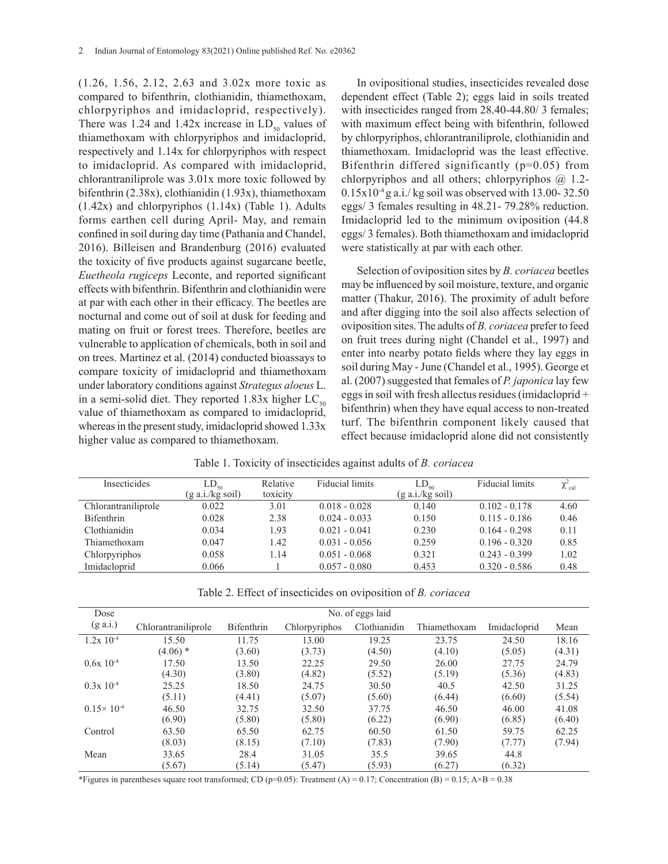(1.26, 1.56, 2.12, 2.63 and 3.02x more toxic as compared to bifenthrin, clothianidin, thiamethoxam, chlorpyriphos and imidacloprid, respectively). There was 1.24 and 1.42x increase in  $LD_{50}$  values of thiamethoxam with chlorpyriphos and imidacloprid, respectively and 1.14x for chlorpyriphos with respect to imidacloprid. As compared with imidacloprid, chlorantraniliprole was 3.01x more toxic followed by bifenthrin (2.38x), clothianidin (1.93x), thiamethoxam  $(1.42x)$  and chlorpyriphos  $(1.14x)$  (Table 1). Adults forms earthen cell during April- May, and remain confined in soil during day time (Pathania and Chandel, 2016). Billeisen and Brandenburg (2016) evaluated the toxicity of five products against sugarcane beetle, *Euetheola rugiceps* Leconte, and reported significant effects with bifenthrin. Bifenthrin and clothianidin were at par with each other in their efficacy. The beetles are nocturnal and come out of soil at dusk for feeding and mating on fruit or forest trees. Therefore, beetles are vulnerable to application of chemicals, both in soil and on trees. Martinez et al. (2014) conducted bioassays to compare toxicity of imidacloprid and thiamethoxam under laboratory conditions against *Strategus aloeus* L. in a semi-solid diet. They reported 1.83x higher  $LC_{\text{so}}$ value of thiamethoxam as compared to imidacloprid, whereas in the present study, imidacloprid showed 1.33x higher value as compared to thiamethoxam.

In ovipositional studies, insecticides revealed dose dependent effect (Table 2); eggs laid in soils treated with insecticides ranged from 28.40-44.80/3 females; with maximum effect being with bifenthrin, followed by chlorpyriphos, chlorantraniliprole, clothianidin and thiamethoxam. Imidacloprid was the least effective. Bifenthrin differed significantly (p=0.05) from chlorpyriphos and all others; chlorpyriphos @ 1.2-  $0.15x10^{-4}$  g a.i./ kg soil was observed with 13.00-32.50 eggs/ 3 females resulting in 48.21- 79.28% reduction. Imidacloprid led to the minimum oviposition (44.8 eggs/ 3 females). Both thiamethoxam and imidacloprid were statistically at par with each other.

Selection of oviposition sites by *B. coriacea* beetles may be influenced by soil moisture, texture, and organic matter (Thakur, 2016). The proximity of adult before and after digging into the soil also affects selection of oviposition sites.The adults of *B. coriacea* prefer to feed on fruit trees during night (Chandel et al., 1997) and enter into nearby potato fields where they lay eggs in soil during May - June (Chandel et al., 1995). George et al. (2007) suggested that females of *P. japonica* lay few eggs in soil with fresh allectus residues (imidacloprid + bifenthrin) when they have equal access to non-treated turf. The bifenthrin component likely caused that effect because imidacloprid alone did not consistently

|  |  |  |  |  |  |  | Table 1. Toxicity of insecticides against adults of <i>B. coriacea</i> |
|--|--|--|--|--|--|--|------------------------------------------------------------------------|
|--|--|--|--|--|--|--|------------------------------------------------------------------------|

| Insecticides        | $LD_{50}$                  | Relative | <b>Fiducial limits</b> | $LD_{\omega}$              | Fiducial limits | $\chi^2_{\text{cal}}$ |
|---------------------|----------------------------|----------|------------------------|----------------------------|-----------------|-----------------------|
|                     | $(g \text{ a.i./kg soil})$ | toxicity |                        | $(g \text{ a.i./kg soil})$ |                 |                       |
| Chlorantraniliprole | 0.022                      | 3.01     | $0.018 - 0.028$        | 0.140                      | $0.102 - 0.178$ | 4.60                  |
| <b>Bifenthrin</b>   | 0.028                      | 2.38     | $0.024 - 0.033$        | 0.150                      | $0.115 - 0.186$ | 0.46                  |
| Clothianidin        | 0.034                      | .93      | $0.021 - 0.041$        | 0.230                      | $0.164 - 0.298$ | 0.11                  |
| Thiamethoxam        | 0.047                      | 1.42     | $0.031 - 0.056$        | 0.259                      | $0.196 - 0.320$ | 0.85                  |
| Chlorpyriphos       | 0.058                      | 1.14     | $0.051 - 0.068$        | 0.321                      | $0.243 - 0.399$ | 1.02                  |
| Imidacloprid        | 0.066                      |          | $0.057 - 0.080$        | 0.453                      | $0.320 - 0.586$ | 0.48                  |

|  |  |  | Table 2. Effect of insecticides on oviposition of <i>B. coriacea</i> |  |  |  |  |
|--|--|--|----------------------------------------------------------------------|--|--|--|--|
|--|--|--|----------------------------------------------------------------------|--|--|--|--|

| Dose                    | No. of eggs laid    |            |               |              |              |              |        |  |
|-------------------------|---------------------|------------|---------------|--------------|--------------|--------------|--------|--|
| $(g \text{ a.i.})$      | Chlorantraniliprole | Bifenthrin | Chlorpyriphos | Clothianidin | Thiamethoxam | Imidacloprid | Mean   |  |
| $1.2x$ $10^{-4}$        | 15.50               | 11.75      | 13.00         | 19.25        | 23.75        | 24.50        | 18.16  |  |
|                         | $(4.06)$ *          | (3.60)     | (3.73)        | (4.50)       | (4.10)       | (5.05)       | (4.31) |  |
| $0.6x$ 10 <sup>-4</sup> | 17.50               | 13.50      | 22.25         | 29.50        | 26.00        | 27.75        | 24.79  |  |
|                         | (4.30)              | (3.80)     | (4.82)        | (5.52)       | (5.19)       | (5.36)       | (4.83) |  |
| $0.3x$ 10 <sup>-4</sup> | 25.25               | 18.50      | 24.75         | 30.50        | 40.5         | 42.50        | 31.25  |  |
|                         | (5.11)              | (4.41)     | (5.07)        | (5.60)       | (6.44)       | (6.60)       | (5.54) |  |
| $0.15 \times 10^{-4}$   | 46.50               | 32.75      | 32.50         | 37.75        | 46.50        | 46.00        | 41.08  |  |
|                         | (6.90)              | (5.80)     | (5.80)        | (6.22)       | (6.90)       | (6.85)       | (6.40) |  |
| Control                 | 63.50               | 65.50      | 62.75         | 60.50        | 61.50        | 59.75        | 62.25  |  |
|                         | (8.03)              | (8.15)     | (7.10)        | (7.83)       | (7.90)       | (7.77)       | (7.94) |  |
| Mean                    | 33.65               | 28.4       | 31.05         | 35.5         | 39.65        | 44.8         |        |  |
|                         | (5.67)              | (5.14)     | (5.47)        | (5.93)       | (6.27)       | (6.32)       |        |  |

\*Figures in parentheses square root transformed; CD (p=0.05): Treatment (A) = 0.17; Concentration (B) = 0.15; A×B = 0.38